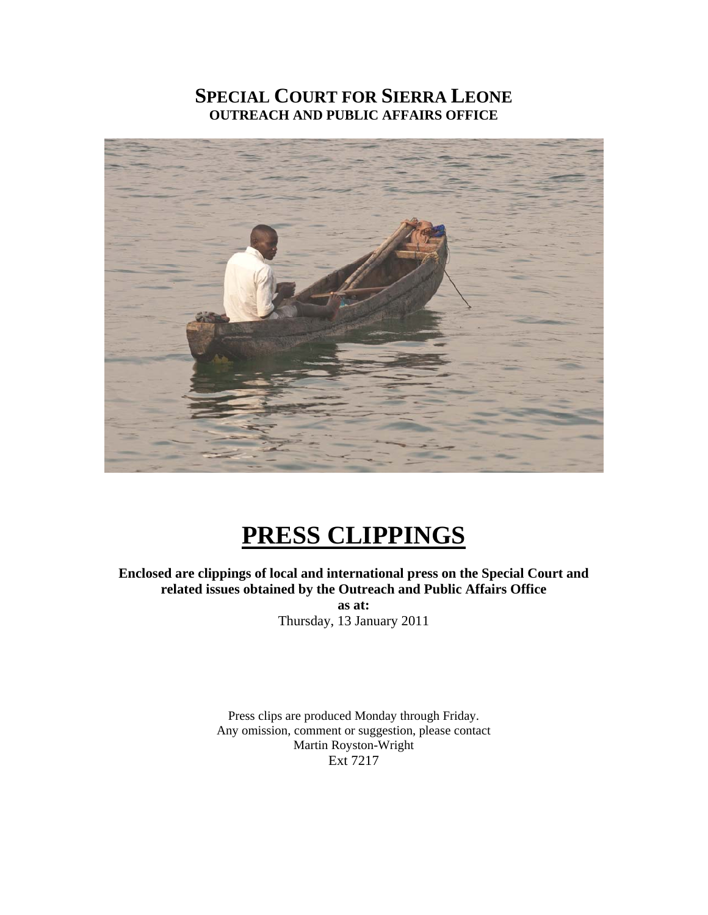# **SPECIAL COURT FOR SIERRA LEONE OUTREACH AND PUBLIC AFFAIRS OFFICE**



# **PRESS CLIPPINGS**

## **Enclosed are clippings of local and international press on the Special Court and related issues obtained by the Outreach and Public Affairs Office as at:**

Thursday, 13 January 2011

Press clips are produced Monday through Friday. Any omission, comment or suggestion, please contact Martin Royston-Wright Ext 7217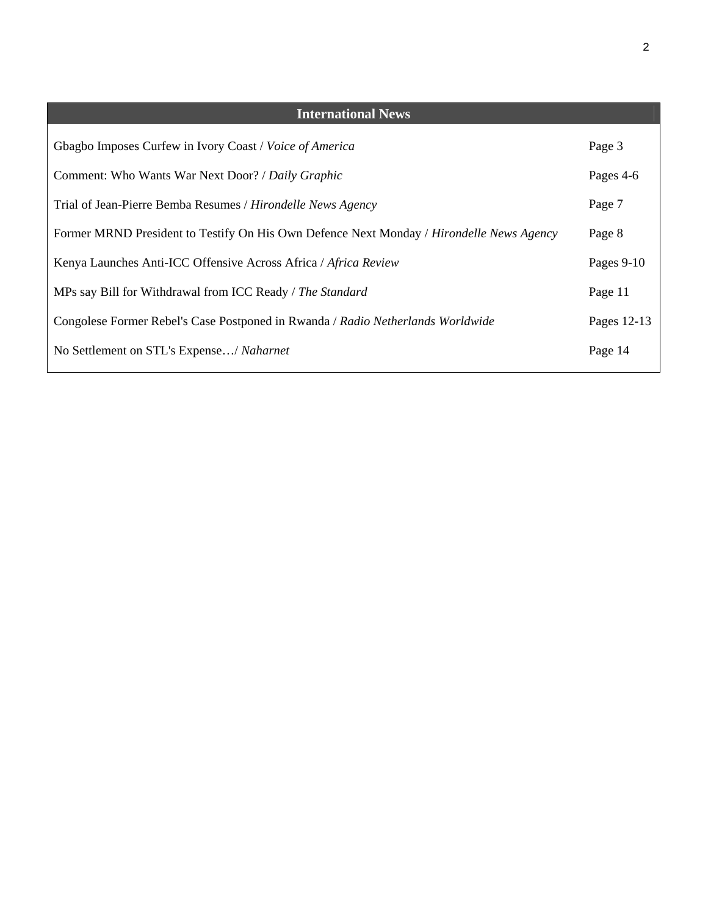| <b>International News</b>                                                                |             |
|------------------------------------------------------------------------------------------|-------------|
| Gbagbo Imposes Curfew in Ivory Coast / Voice of America                                  | Page 3      |
| Comment: Who Wants War Next Door? / Daily Graphic                                        | Pages 4-6   |
| Trial of Jean-Pierre Bemba Resumes / Hirondelle News Agency                              | Page 7      |
| Former MRND President to Testify On His Own Defence Next Monday / Hirondelle News Agency | Page 8      |
| Kenya Launches Anti-ICC Offensive Across Africa / Africa Review                          | Pages 9-10  |
| MPs say Bill for Withdrawal from ICC Ready / The Standard                                | Page 11     |
| Congolese Former Rebel's Case Postponed in Rwanda / Radio Netherlands Worldwide          | Pages 12-13 |
| No Settlement on STL's Expense/ Naharnet                                                 | Page 14     |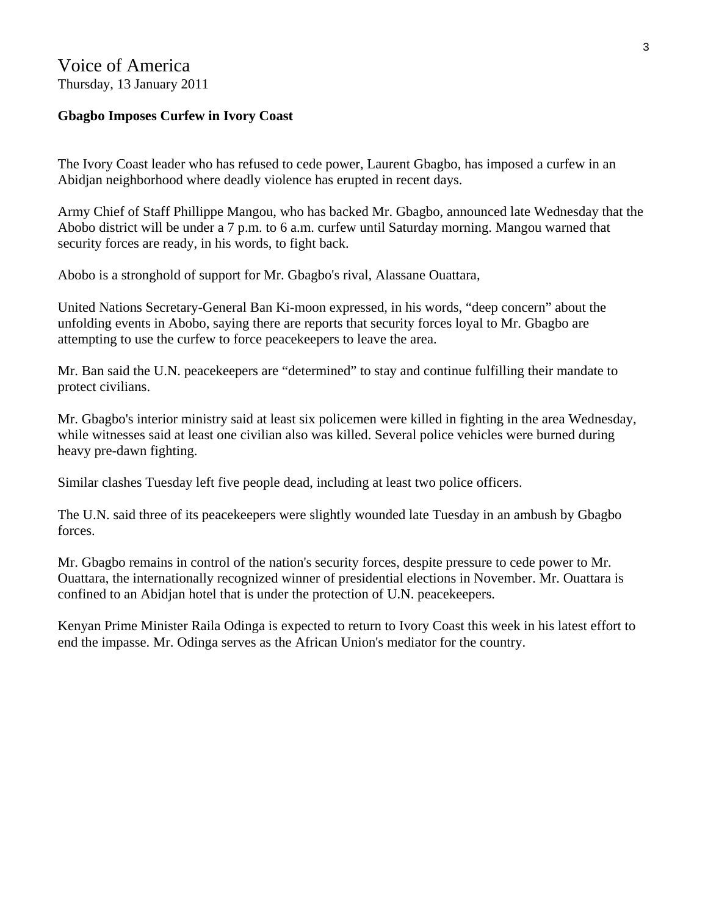## Voice of America Thursday, 13 January 2011

## **Gbagbo Imposes Curfew in Ivory Coast**

The Ivory Coast leader who has refused to cede power, Laurent Gbagbo, has imposed a curfew in an Abidjan neighborhood where deadly violence has erupted in recent days.

Army Chief of Staff Phillippe Mangou, who has backed Mr. Gbagbo, announced late Wednesday that the Abobo district will be under a 7 p.m. to 6 a.m. curfew until Saturday morning. Mangou warned that security forces are ready, in his words, to fight back.

Abobo is a stronghold of support for Mr. Gbagbo's rival, Alassane Ouattara,

United Nations Secretary-General Ban Ki-moon expressed, in his words, "deep concern" about the unfolding events in Abobo, saying there are reports that security forces loyal to Mr. Gbagbo are attempting to use the curfew to force peacekeepers to leave the area.

Mr. Ban said the U.N. peacekeepers are "determined" to stay and continue fulfilling their mandate to protect civilians.

Mr. Gbagbo's interior ministry said at least six policemen were killed in fighting in the area Wednesday, while witnesses said at least one civilian also was killed. Several police vehicles were burned during heavy pre-dawn fighting.

Similar clashes Tuesday left five people dead, including at least two police officers.

The U.N. said three of its peacekeepers were slightly wounded late Tuesday in an ambush by Gbagbo forces.

Mr. Gbagbo remains in control of the nation's security forces, despite pressure to cede power to Mr. Ouattara, the internationally recognized winner of presidential elections in November. Mr. Ouattara is confined to an Abidjan hotel that is under the protection of U.N. peacekeepers.

Kenyan Prime Minister Raila Odinga is expected to return to Ivory Coast this week in his latest effort to end the impasse. Mr. Odinga serves as the African Union's mediator for the country.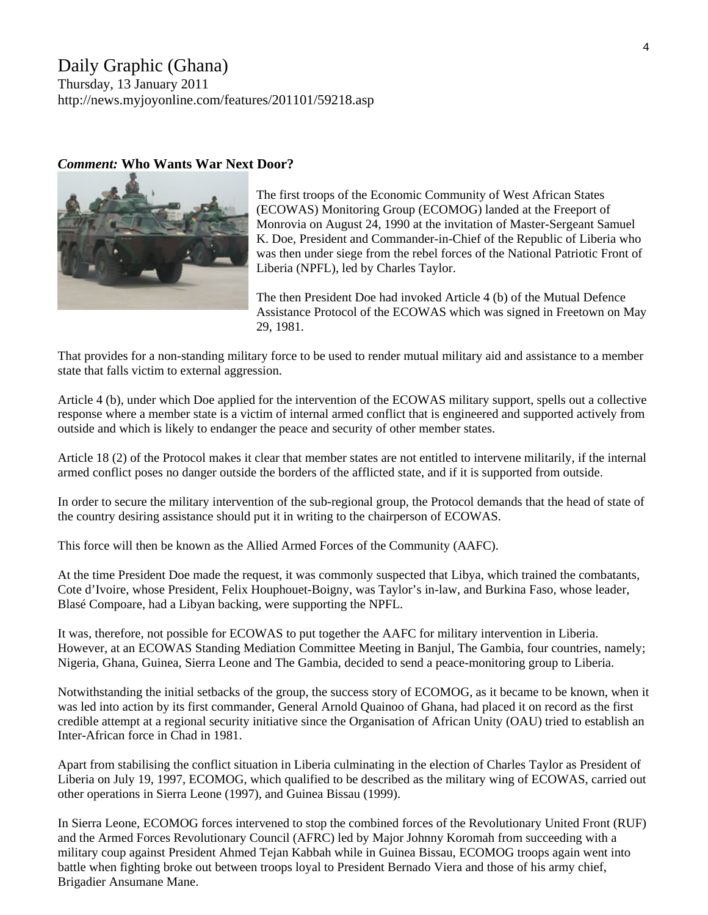# Daily Graphic (Ghana)

Thursday, 13 January 2011 <http://news.myjoyonline.com/features/201101/59218.asp>

#### *Comment:* **Who Wants War Next Door?**



The first troops of the Economic Community of West African States (ECOWAS) Monitoring Group (ECOMOG) landed at the Freeport of Monrovia on August 24, 1990 at the invitation of Master-Sergeant Samuel K. Doe, President and Commander-in-Chief of the Republic of Liberia who was then under siege from the rebel forces of the National Patriotic Front of Liberia (NPFL), led by Charles Taylor.

The then President Doe had invoked Article 4 (b) of the Mutual Defence Assistance Protocol of the ECOWAS which was signed in Freetown on May 29, 1981.

That provides for a non-standing military force to be used to render mutual military aid and assistance to a member state that falls victim to external aggression.

Article 4 (b), under which Doe applied for the intervention of the ECOWAS military support, spells out a collective response where a member state is a victim of internal armed conflict that is engineered and supported actively from outside and which is likely to endanger the peace and security of other member states.

Article 18 (2) of the Protocol makes it clear that member states are not entitled to intervene militarily, if the internal armed conflict poses no danger outside the borders of the afflicted state, and if it is supported from outside.

In order to secure the military intervention of the sub-regional group, the Protocol demands that the head of state of the country desiring assistance should put it in writing to the chairperson of ECOWAS.

This force will then be known as the Allied Armed Forces of the Community (AAFC).

At the time President Doe made the request, it was commonly suspected that Libya, which trained the combatants, Cote d'Ivoire, whose President, Felix Houphouet-Boigny, was Taylor's in-law, and Burkina Faso, whose leader, Blasé Compoare, had a Libyan backing, were supporting the NPFL.

It was, therefore, not possible for ECOWAS to put together the AAFC for military intervention in Liberia. However, at an ECOWAS Standing Mediation Committee Meeting in Banjul, The Gambia, four countries, namely; Nigeria, Ghana, Guinea, Sierra Leone and The Gambia, decided to send a peace-monitoring group to Liberia.

Notwithstanding the initial setbacks of the group, the success story of ECOMOG, as it became to be known, when it was led into action by its first commander, General Arnold Quainoo of Ghana, had placed it on record as the first credible attempt at a regional security initiative since the Organisation of African Unity (OAU) tried to establish an Inter-African force in Chad in 1981.

Apart from stabilising the conflict situation in Liberia culminating in the election of Charles Taylor as President of Liberia on July 19, 1997, ECOMOG, which qualified to be described as the military wing of ECOWAS, carried out other operations in Sierra Leone (1997), and Guinea Bissau (1999).

In Sierra Leone, ECOMOG forces intervened to stop the combined forces of the Revolutionary United Front (RUF) and the Armed Forces Revolutionary Council (AFRC) led by Major Johnny Koromah from succeeding with a military coup against President Ahmed Tejan Kabbah while in Guinea Bissau, ECOMOG troops again went into battle when fighting broke out between troops loyal to President Bernado Viera and those of his army chief, Brigadier Ansumane Mane.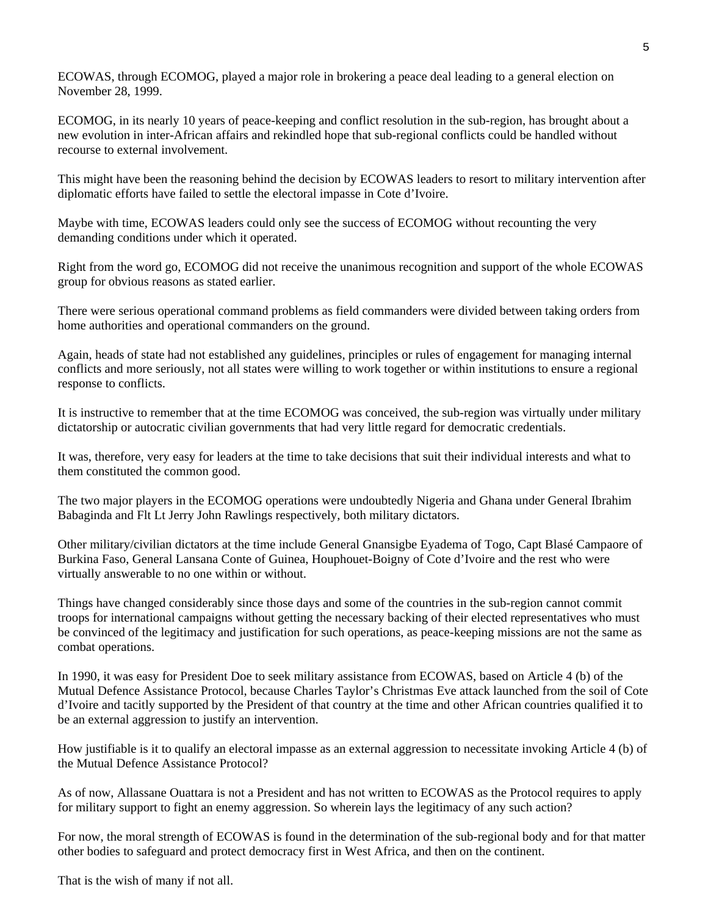ECOWAS, through ECOMOG, played a major role in brokering a peace deal leading to a general election on November 28, 1999.

ECOMOG, in its nearly 10 years of peace-keeping and conflict resolution in the sub-region, has brought about a new evolution in inter-African affairs and rekindled hope that sub-regional conflicts could be handled without recourse to external involvement.

This might have been the reasoning behind the decision by ECOWAS leaders to resort to military intervention after diplomatic efforts have failed to settle the electoral impasse in Cote d'Ivoire.

Maybe with time, ECOWAS leaders could only see the success of ECOMOG without recounting the very demanding conditions under which it operated.

Right from the word go, ECOMOG did not receive the unanimous recognition and support of the whole ECOWAS group for obvious reasons as stated earlier.

There were serious operational command problems as field commanders were divided between taking orders from home authorities and operational commanders on the ground.

Again, heads of state had not established any guidelines, principles or rules of engagement for managing internal conflicts and more seriously, not all states were willing to work together or within institutions to ensure a regional response to conflicts.

It is instructive to remember that at the time ECOMOG was conceived, the sub-region was virtually under military dictatorship or autocratic civilian governments that had very little regard for democratic credentials.

It was, therefore, very easy for leaders at the time to take decisions that suit their individual interests and what to them constituted the common good.

The two major players in the ECOMOG operations were undoubtedly Nigeria and Ghana under General Ibrahim Babaginda and Flt Lt Jerry John Rawlings respectively, both military dictators.

Other military/civilian dictators at the time include General Gnansigbe Eyadema of Togo, Capt Blasé Campaore of Burkina Faso, General Lansana Conte of Guinea, Houphouet-Boigny of Cote d'Ivoire and the rest who were virtually answerable to no one within or without.

Things have changed considerably since those days and some of the countries in the sub-region cannot commit troops for international campaigns without getting the necessary backing of their elected representatives who must be convinced of the legitimacy and justification for such operations, as peace-keeping missions are not the same as combat operations.

In 1990, it was easy for President Doe to seek military assistance from ECOWAS, based on Article 4 (b) of the Mutual Defence Assistance Protocol, because Charles Taylor's Christmas Eve attack launched from the soil of Cote d'Ivoire and tacitly supported by the President of that country at the time and other African countries qualified it to be an external aggression to justify an intervention.

How justifiable is it to qualify an electoral impasse as an external aggression to necessitate invoking Article 4 (b) of the Mutual Defence Assistance Protocol?

As of now, Allassane Ouattara is not a President and has not written to ECOWAS as the Protocol requires to apply for military support to fight an enemy aggression. So wherein lays the legitimacy of any such action?

For now, the moral strength of ECOWAS is found in the determination of the sub-regional body and for that matter other bodies to safeguard and protect democracy first in West Africa, and then on the continent.

That is the wish of many if not all.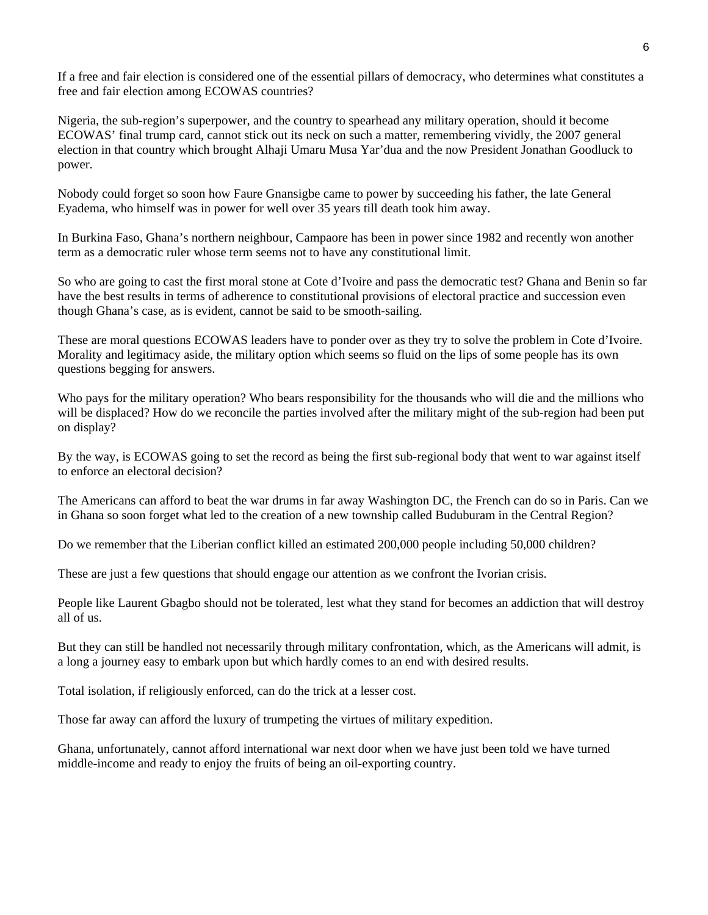If a free and fair election is considered one of the essential pillars of democracy, who determines what constitutes a free and fair election among ECOWAS countries?

Nigeria, the sub-region's superpower, and the country to spearhead any military operation, should it become ECOWAS' final trump card, cannot stick out its neck on such a matter, remembering vividly, the 2007 general election in that country which brought Alhaji Umaru Musa Yar'dua and the now President Jonathan Goodluck to power.

Nobody could forget so soon how Faure Gnansigbe came to power by succeeding his father, the late General Eyadema, who himself was in power for well over 35 years till death took him away.

In Burkina Faso, Ghana's northern neighbour, Campaore has been in power since 1982 and recently won another term as a democratic ruler whose term seems not to have any constitutional limit.

So who are going to cast the first moral stone at Cote d'Ivoire and pass the democratic test? Ghana and Benin so far have the best results in terms of adherence to constitutional provisions of electoral practice and succession even though Ghana's case, as is evident, cannot be said to be smooth-sailing.

These are moral questions ECOWAS leaders have to ponder over as they try to solve the problem in Cote d'Ivoire. Morality and legitimacy aside, the military option which seems so fluid on the lips of some people has its own questions begging for answers.

Who pays for the military operation? Who bears responsibility for the thousands who will die and the millions who will be displaced? How do we reconcile the parties involved after the military might of the sub-region had been put on display?

By the way, is ECOWAS going to set the record as being the first sub-regional body that went to war against itself to enforce an electoral decision?

The Americans can afford to beat the war drums in far away Washington DC, the French can do so in Paris. Can we in Ghana so soon forget what led to the creation of a new township called Buduburam in the Central Region?

Do we remember that the Liberian conflict killed an estimated 200,000 people including 50,000 children?

These are just a few questions that should engage our attention as we confront the Ivorian crisis.

People like Laurent Gbagbo should not be tolerated, lest what they stand for becomes an addiction that will destroy all of us.

But they can still be handled not necessarily through military confrontation, which, as the Americans will admit, is a long a journey easy to embark upon but which hardly comes to an end with desired results.

Total isolation, if religiously enforced, can do the trick at a lesser cost.

Those far away can afford the luxury of trumpeting the virtues of military expedition.

Ghana, unfortunately, cannot afford international war next door when we have just been told we have turned middle-income and ready to enjoy the fruits of being an oil-exporting country.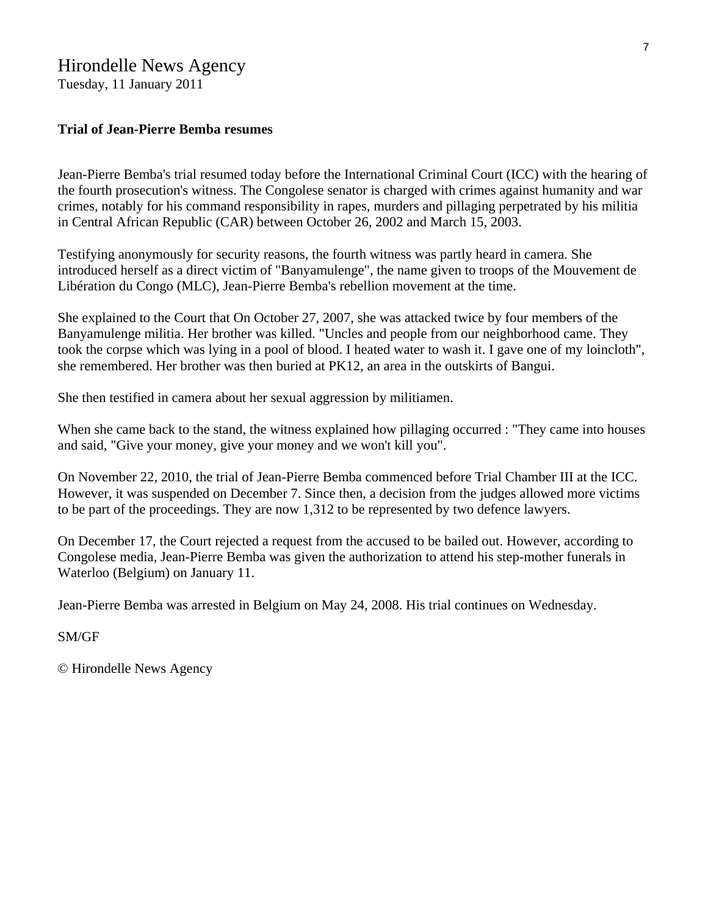## Hirondelle News Agency

Tuesday, 11 January 2011

## **Trial of Jean-Pierre Bemba resumes**

Jean-Pierre Bemba's trial resumed today before the International Criminal Court (ICC) with the hearing of the fourth prosecution's witness. The Congolese senator is charged with crimes against humanity and war crimes, notably for his command responsibility in rapes, murders and pillaging perpetrated by his militia in Central African Republic (CAR) between October 26, 2002 and March 15, 2003.

Testifying anonymously for security reasons, the fourth witness was partly heard in camera. She introduced herself as a direct victim of "Banyamulenge", the name given to troops of the Mouvement de Libération du Congo (MLC), Jean-Pierre Bemba's rebellion movement at the time.

She explained to the Court that On October 27, 2007, she was attacked twice by four members of the Banyamulenge militia. Her brother was killed. "Uncles and people from our neighborhood came. They took the corpse which was lying in a pool of blood. I heated water to wash it. I gave one of my loincloth", she remembered. Her brother was then buried at PK12, an area in the outskirts of Bangui.

She then testified in camera about her sexual aggression by militiamen.

When she came back to the stand, the witness explained how pillaging occurred : "They came into houses" and said, "Give your money, give your money and we won't kill you".

On November 22, 2010, the trial of Jean-Pierre Bemba commenced before Trial Chamber III at the ICC. However, it was suspended on December 7. Since then, a decision from the judges allowed more victims to be part of the proceedings. They are now 1,312 to be represented by two defence lawyers.

On December 17, the Court rejected a request from the accused to be bailed out. However, according to Congolese media, Jean-Pierre Bemba was given the authorization to attend his step-mother funerals in Waterloo (Belgium) on January 11.

Jean-Pierre Bemba was arrested in Belgium on May 24, 2008. His trial continues on Wednesday.

## SM/GF

© Hirondelle News Agency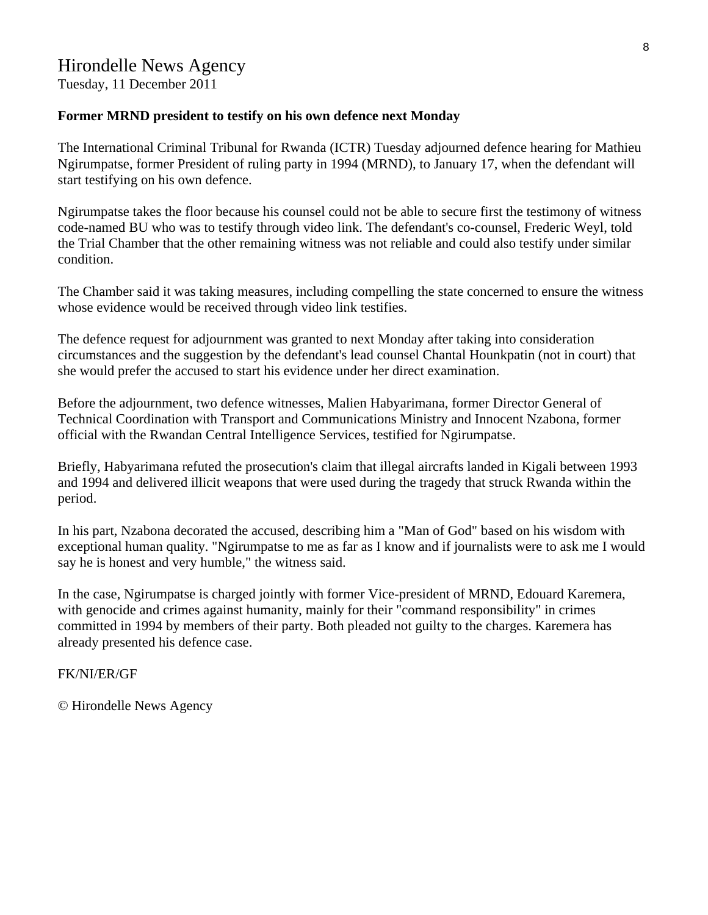Tuesday, 11 December 2011

## **Former MRND president to testify on his own defence next Monday**

The International Criminal Tribunal for Rwanda (ICTR) Tuesday adjourned defence hearing for Mathieu Ngirumpatse, former President of ruling party in 1994 (MRND), to January 17, when the defendant will start testifying on his own defence.

Ngirumpatse takes the floor because his counsel could not be able to secure first the testimony of witness code-named BU who was to testify through video link. The defendant's co-counsel, Frederic Weyl, told the Trial Chamber that the other remaining witness was not reliable and could also testify under similar condition.

The Chamber said it was taking measures, including compelling the state concerned to ensure the witness whose evidence would be received through video link testifies.

The defence request for adjournment was granted to next Monday after taking into consideration circumstances and the suggestion by the defendant's lead counsel Chantal Hounkpatin (not in court) that she would prefer the accused to start his evidence under her direct examination.

Before the adjournment, two defence witnesses, Malien Habyarimana, former Director General of Technical Coordination with Transport and Communications Ministry and Innocent Nzabona, former official with the Rwandan Central Intelligence Services, testified for Ngirumpatse.

Briefly, Habyarimana refuted the prosecution's claim that illegal aircrafts landed in Kigali between 1993 and 1994 and delivered illicit weapons that were used during the tragedy that struck Rwanda within the period.

In his part, Nzabona decorated the accused, describing him a "Man of God" based on his wisdom with exceptional human quality. "Ngirumpatse to me as far as I know and if journalists were to ask me I would say he is honest and very humble," the witness said.

In the case, Ngirumpatse is charged jointly with former Vice-president of MRND, Edouard Karemera, with genocide and crimes against humanity, mainly for their "command responsibility" in crimes committed in 1994 by members of their party. Both pleaded not guilty to the charges. Karemera has already presented his defence case.

FK/NI/ER/GF

© Hirondelle News Agency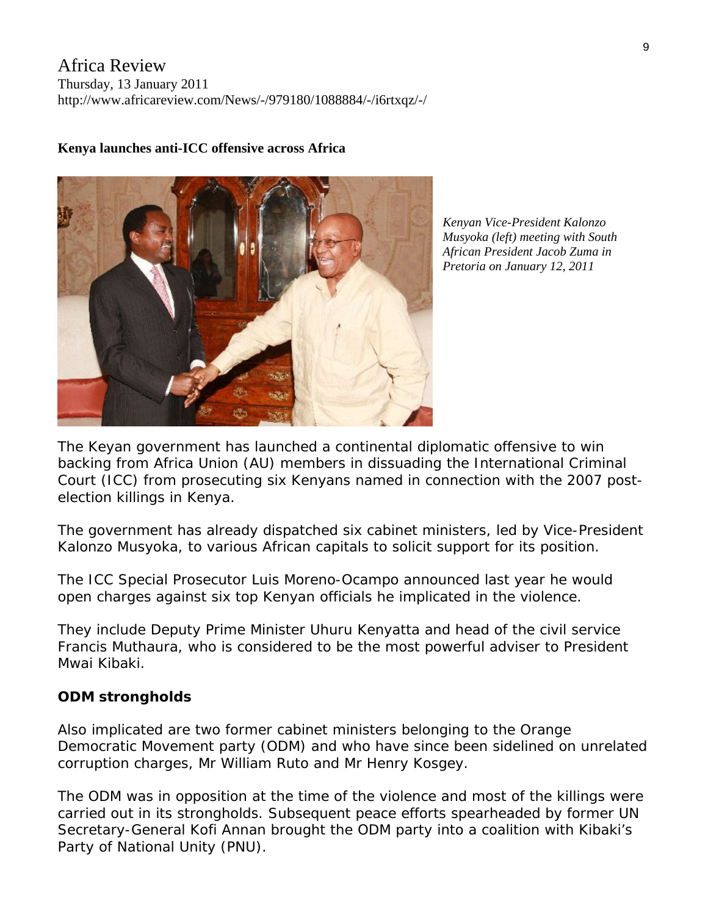Africa Review Thursday, 13 January 2011 http://www.africareview.com/News/-/979180/1088884/-/i6rtxqz/-/



## **Kenya launches anti-ICC offensive across Africa**

*Kenyan Vice-President Kalonzo Musyoka (left) meeting with South African President Jacob Zuma in Pretoria on January 12, 2011*

The Keyan government has launched a continental diplomatic offensive to win backing from Africa Union (AU) members in dissuading the International Criminal Court (ICC) from prosecuting six Kenyans named in connection with the 2007 postelection killings in Kenya.

The government has already dispatched six cabinet ministers, led by Vice-President Kalonzo Musyoka, to various African capitals to solicit support for its position.

The ICC Special Prosecutor Luis Moreno-Ocampo announced last year he would open charges against six top Kenyan officials he implicated in the violence.

They include Deputy Prime Minister Uhuru Kenyatta and head of the civil service Francis Muthaura, who is considered to be the most powerful adviser to President Mwai Kibaki.

## **ODM strongholds**

Also implicated are two former cabinet ministers belonging to the Orange Democratic Movement party (ODM) and who have since been sidelined on unrelated corruption charges, Mr William Ruto and Mr Henry Kosgey.

The ODM was in opposition at the time of the violence and most of the killings were carried out in its strongholds. Subsequent peace efforts spearheaded by former UN Secretary-General Kofi Annan brought the ODM party into a coalition with Kibaki's Party of National Unity (PNU).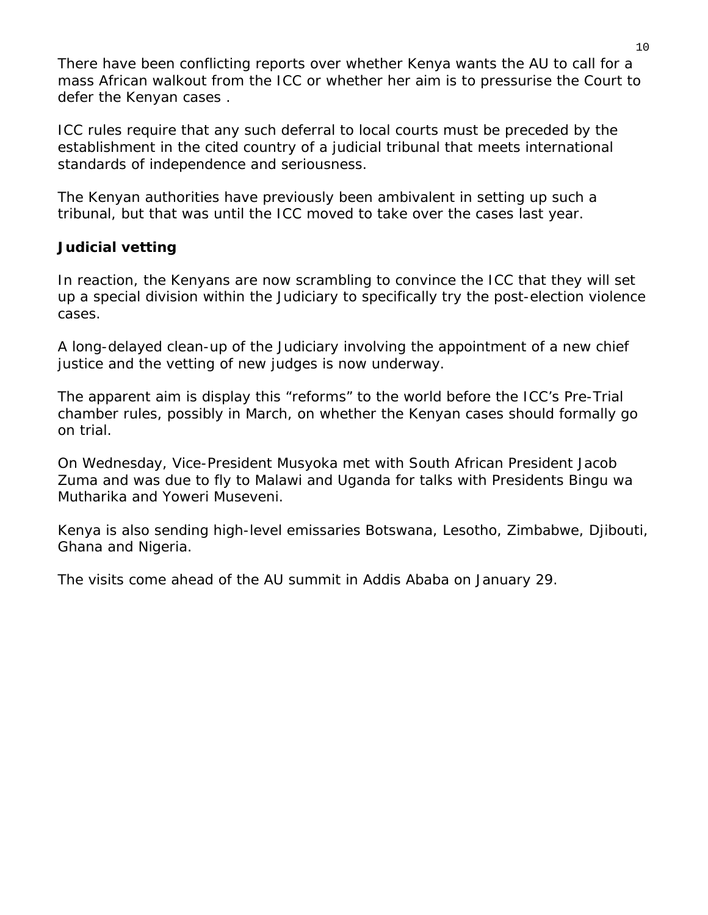There have been conflicting reports over whether Kenya wants the AU to call for a mass African walkout from the ICC or whether her aim is to pressurise the Court to defer the Kenyan cases .

ICC rules require that any such deferral to local courts must be preceded by the establishment in the cited country of a judicial tribunal that meets international standards of independence and seriousness.

The Kenyan authorities have previously been ambivalent in setting up such a tribunal, but that was until the ICC moved to take over the cases last year.

## **Judicial vetting**

In reaction, the Kenyans are now scrambling to convince the ICC that they will set up a special division within the Judiciary to specifically try the post-election violence cases.

A long-delayed clean-up of the Judiciary involving the appointment of a new chief justice and the vetting of new judges is now underway.

The apparent aim is display this "reforms" to the world before the ICC's Pre-Trial chamber rules, possibly in March, on whether the Kenyan cases should formally go on trial.

On Wednesday, Vice-President Musyoka met with South African President Jacob Zuma and was due to fly to Malawi and Uganda for talks with Presidents Bingu wa Mutharika and Yoweri Museveni.

Kenya is also sending high-level emissaries Botswana, Lesotho, Zimbabwe, Djibouti, Ghana and Nigeria.

The visits come ahead of the AU summit in Addis Ababa on January 29.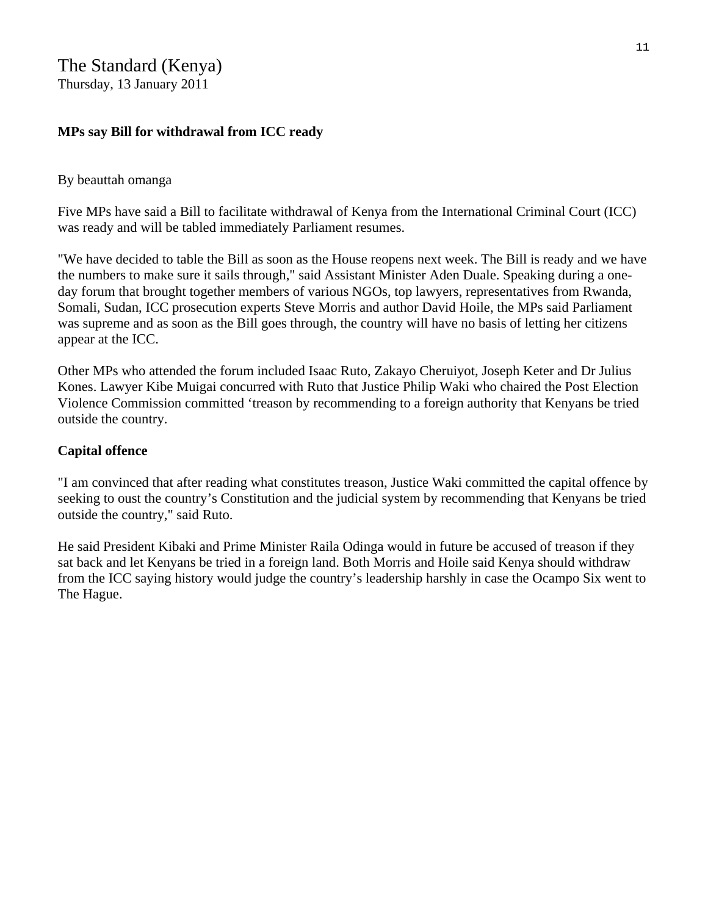Thursday, 13 January 2011

## **MPs say Bill for withdrawal from ICC ready**

## By beauttah omanga

Five MPs have said a Bill to facilitate withdrawal of Kenya from the International Criminal Court (ICC) was ready and will be tabled immediately Parliament resumes.

"We have decided to table the Bill as soon as the House reopens next week. The Bill is ready and we have the numbers to make sure it sails through," said Assistant Minister Aden Duale. Speaking during a oneday forum that brought together members of various NGOs, top lawyers, representatives from Rwanda, Somali, Sudan, ICC prosecution experts Steve Morris and author David Hoile, the MPs said Parliament was supreme and as soon as the Bill goes through, the country will have no basis of letting her citizens appear at the ICC.

Other MPs who attended the forum included Isaac Ruto, Zakayo Cheruiyot, Joseph Keter and Dr Julius Kones. Lawyer Kibe Muigai concurred with Ruto that Justice Philip Waki who chaired the Post Election Violence Commission committed 'treason by recommending to a foreign authority that Kenyans be tried outside the country.

## **Capital offence**

"I am convinced that after reading what constitutes treason, Justice Waki committed the capital offence by seeking to oust the country's Constitution and the judicial system by recommending that Kenyans be tried outside the country," said Ruto.

He said President Kibaki and Prime Minister Raila Odinga would in future be accused of treason if they sat back and let Kenyans be tried in a foreign land. Both Morris and Hoile said Kenya should withdraw from the ICC saying history would judge the country's leadership harshly in case the Ocampo Six went to The Hague.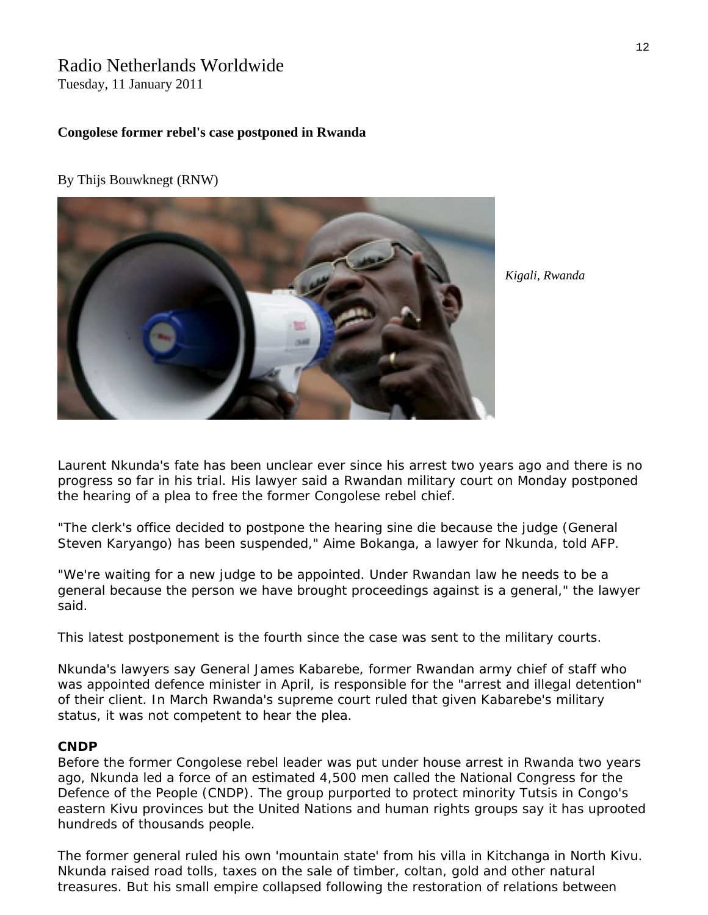# Radio Netherlands Worldwide

Tuesday, 11 January 2011

#### **Congolese former rebel's case postponed in Rwanda**

By [Thijs Bouwknegt](http://www.rnw.nl/international-justice/users/thijs-bouwknegt) ([RNW\)](http://www.internationaljustice.nl/)



*Kigali, Rwanda* 

Laurent Nkunda's fate has been unclear ever since his arrest two years ago and there is no progress so far in his trial. His lawyer said a Rwandan military court on Monday postponed the hearing of a plea to free the former Congolese rebel chief.

"The clerk's office decided to postpone the hearing sine die because the judge (General Steven Karyango) has been suspended," Aime Bokanga, a lawyer for Nkunda, told AFP.

"We're waiting for a new judge to be appointed. Under Rwandan law he needs to be a general because the person we have brought proceedings against is a general," the lawyer said.

This latest postponement is the fourth since the case was sent to the military courts.

Nkunda's lawyers say General James Kabarebe, former Rwandan army chief of staff who was appointed defence minister in April, is responsible for the "arrest and illegal detention" of their client. In March Rwanda's supreme court ruled that given Kabarebe's military status, it was not competent to hear the plea.

#### **CNDP**

Before the former Congolese rebel leader was put under house arrest in Rwanda two years ago, Nkunda led a force of an estimated 4,500 men called the National Congress for the Defence of the People (CNDP). The group purported to protect minority Tutsis in Congo's eastern Kivu provinces but the United Nations and human rights groups say it has uprooted hundreds of thousands people.

The former general ruled his own 'mountain state' from his villa in Kitchanga in North Kivu. Nkunda raised road tolls, taxes on the sale of timber, coltan, gold and other natural treasures. But his small empire collapsed following the restoration of relations between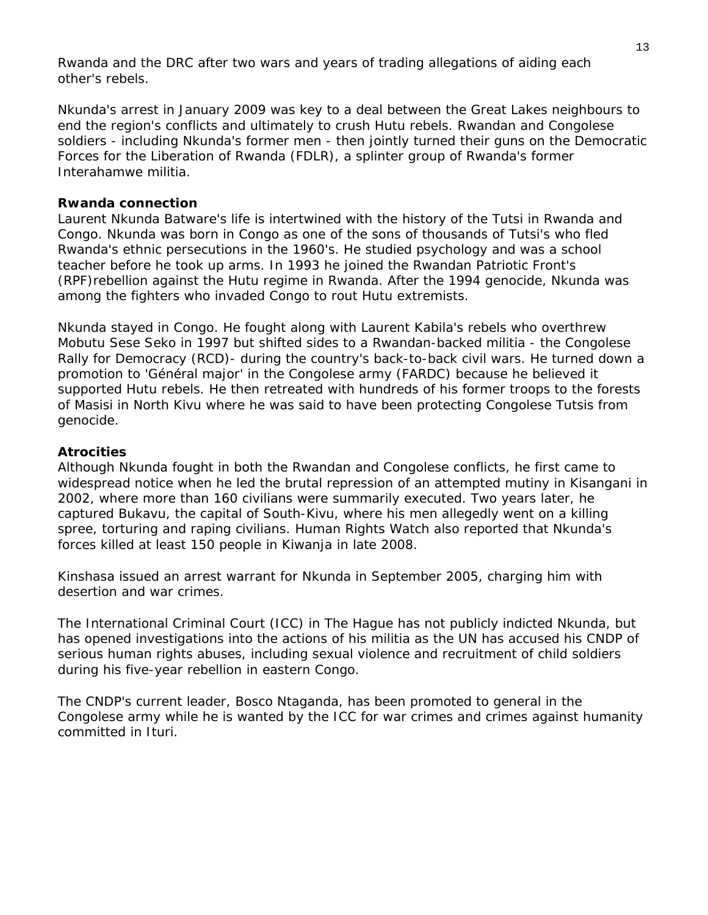Rwanda and the DRC after two wars and years of trading allegations of aiding each other's rebels.

Nkunda's arrest in January 2009 was key to a deal between the Great Lakes neighbours to end the region's conflicts and ultimately to crush Hutu rebels. Rwandan and Congolese soldiers - including Nkunda's former men - then jointly turned their guns on the Democratic Forces for the Liberation of Rwanda (FDLR), a splinter group of Rwanda's former Interahamwe militia.

## **Rwanda connection**

Laurent Nkunda Batware's life is intertwined with the history of the Tutsi in Rwanda and Congo. Nkunda was born in Congo as one of the sons of thousands of Tutsi's who fled Rwanda's ethnic persecutions in the 1960's. He studied psychology and was a school teacher before he took up arms. In 1993 he joined the Rwandan Patriotic Front's (RPF)rebellion against the Hutu regime in Rwanda. After the 1994 genocide, Nkunda was among the fighters who invaded Congo to rout Hutu extremists.

Nkunda stayed in Congo. He fought along with Laurent Kabila's rebels who overthrew Mobutu Sese Seko in 1997 but shifted sides to a Rwandan-backed militia - the Congolese Rally for Democracy (RCD)- during the country's back-to-back civil wars. He turned down a promotion to 'Général major' in the Congolese army (FARDC) because he believed it supported Hutu rebels. He then retreated with hundreds of his former troops to the forests of Masisi in North Kivu where he was said to have been protecting Congolese Tutsis from genocide.

#### **Atrocities**

Although Nkunda fought in both the Rwandan and Congolese conflicts, he first came to widespread notice when he led the brutal repression of an attempted mutiny in Kisangani in 2002, where more than 160 civilians were summarily executed. Two years later, he captured Bukavu, the capital of South-Kivu, where his men allegedly went on a killing spree, torturing and raping civilians. Human Rights Watch also reported that Nkunda's forces killed at least 150 people in Kiwanja in late 2008.

Kinshasa issued an arrest warrant for Nkunda in September 2005, charging him with desertion and war crimes.

The International Criminal Court (ICC) in The Hague has not publicly indicted Nkunda, but has opened investigations into the actions of his militia as the UN has accused his CNDP of serious human rights abuses, including sexual violence and recruitment of child soldiers during his five-year rebellion in eastern Congo.

The CNDP's current leader, Bosco Ntaganda, has been promoted to general in the Congolese army while he is wanted by the ICC for war crimes and crimes against humanity committed in Ituri.